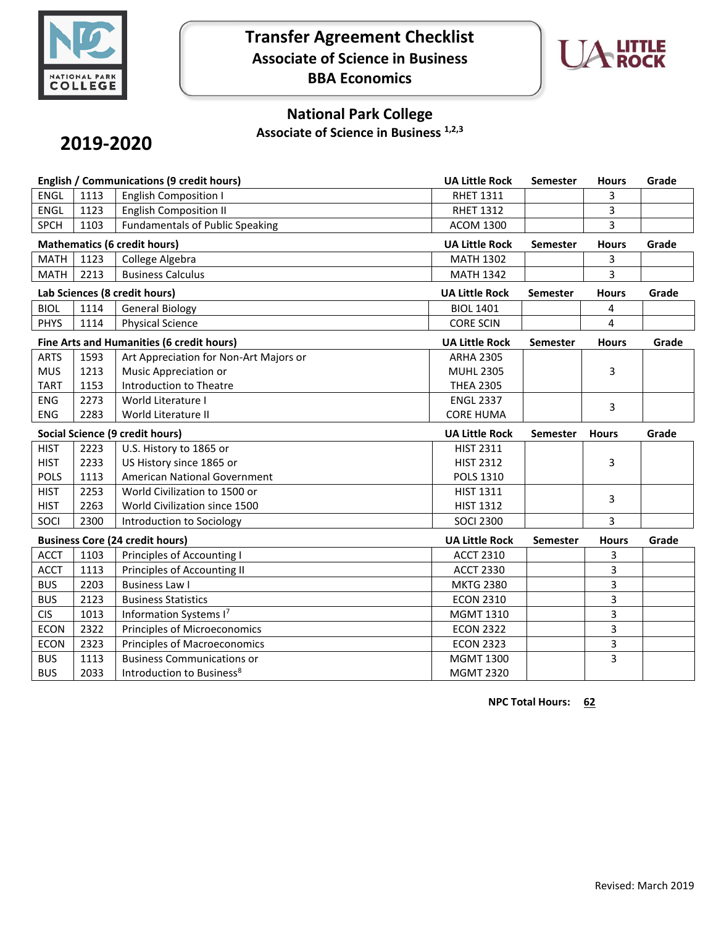

# **Transfer Agreement Checklist Associate of Science in Business BBA Economics**



## **National Park College**

**Associate of Science in Business 1,2,3**

# **2019-2020**

|                                           |      | English / Communications (9 credit hours) | <b>UA Little Rock</b> | Semester<br><b>Hours</b> |              | Grade |
|-------------------------------------------|------|-------------------------------------------|-----------------------|--------------------------|--------------|-------|
| <b>ENGL</b>                               | 1113 | <b>English Composition I</b>              | <b>RHET 1311</b>      |                          | 3            |       |
| <b>ENGL</b>                               | 1123 | <b>English Composition II</b>             | <b>RHET 1312</b>      |                          | 3            |       |
| <b>SPCH</b>                               | 1103 | <b>Fundamentals of Public Speaking</b>    | <b>ACOM 1300</b>      |                          | 3            |       |
| <b>Mathematics (6 credit hours)</b>       |      |                                           | <b>UA Little Rock</b> | Semester                 | <b>Hours</b> | Grade |
| <b>MATH</b>                               | 1123 | College Algebra                           | <b>MATH 1302</b>      |                          | 3            |       |
| <b>MATH</b>                               | 2213 | <b>Business Calculus</b>                  | <b>MATH 1342</b>      |                          | 3            |       |
| Lab Sciences (8 credit hours)             |      |                                           | <b>UA Little Rock</b> | <b>Semester</b>          | <b>Hours</b> | Grade |
| <b>BIOL</b>                               | 1114 | <b>General Biology</b>                    | <b>BIOL 1401</b>      |                          | 4            |       |
| <b>PHYS</b>                               | 1114 | <b>Physical Science</b>                   | <b>CORE SCIN</b>      |                          | 4            |       |
| Fine Arts and Humanities (6 credit hours) |      |                                           | <b>UA Little Rock</b> | <b>Semester</b>          | <b>Hours</b> | Grade |
| <b>ARTS</b>                               | 1593 | Art Appreciation for Non-Art Majors or    | <b>ARHA 2305</b>      |                          |              |       |
| <b>MUS</b>                                | 1213 | Music Appreciation or                     | <b>MUHL 2305</b>      |                          | 3            |       |
| <b>TART</b>                               | 1153 | <b>Introduction to Theatre</b>            | <b>THEA 2305</b>      |                          |              |       |
| <b>ENG</b>                                | 2273 | World Literature I                        | <b>ENGL 2337</b>      |                          | 3            |       |
| <b>ENG</b>                                | 2283 | World Literature II                       | <b>CORE HUMA</b>      |                          |              |       |
| <b>Social Science (9 credit hours)</b>    |      |                                           |                       |                          |              |       |
|                                           |      |                                           | <b>UA Little Rock</b> | <b>Semester</b>          | <b>Hours</b> | Grade |
| <b>HIST</b>                               | 2223 | U.S. History to 1865 or                   | <b>HIST 2311</b>      |                          |              |       |
| <b>HIST</b>                               | 2233 | US History since 1865 or                  | <b>HIST 2312</b>      |                          | 3            |       |
| <b>POLS</b>                               | 1113 | American National Government              | <b>POLS 1310</b>      |                          |              |       |
| <b>HIST</b>                               | 2253 | World Civilization to 1500 or             | <b>HIST 1311</b>      |                          |              |       |
| <b>HIST</b>                               | 2263 | World Civilization since 1500             | <b>HIST 1312</b>      |                          | 3            |       |
| SOCI                                      | 2300 | Introduction to Sociology                 | <b>SOCI 2300</b>      |                          | 3            |       |
|                                           |      | <b>Business Core (24 credit hours)</b>    | <b>UA Little Rock</b> | <b>Semester</b>          | <b>Hours</b> | Grade |
| <b>ACCT</b>                               | 1103 | Principles of Accounting I                | <b>ACCT 2310</b>      |                          | 3            |       |
| <b>ACCT</b>                               | 1113 | Principles of Accounting II               | <b>ACCT 2330</b>      |                          | 3            |       |
| <b>BUS</b>                                | 2203 | <b>Business Law I</b>                     | <b>MKTG 2380</b>      |                          | 3            |       |
| <b>BUS</b>                                | 2123 | <b>Business Statistics</b>                | <b>ECON 2310</b>      |                          | 3            |       |
| <b>CIS</b>                                | 1013 | Information Systems I7                    | <b>MGMT 1310</b>      |                          | 3            |       |
| <b>ECON</b>                               | 2322 | Principles of Microeconomics              | <b>ECON 2322</b>      |                          | 3            |       |
| <b>ECON</b>                               | 2323 | Principles of Macroeconomics              | <b>ECON 2323</b>      |                          | 3            |       |
| <b>BUS</b>                                | 1113 | <b>Business Communications or</b>         | <b>MGMT 1300</b>      |                          | 3            |       |

**NPC Total Hours: 62**